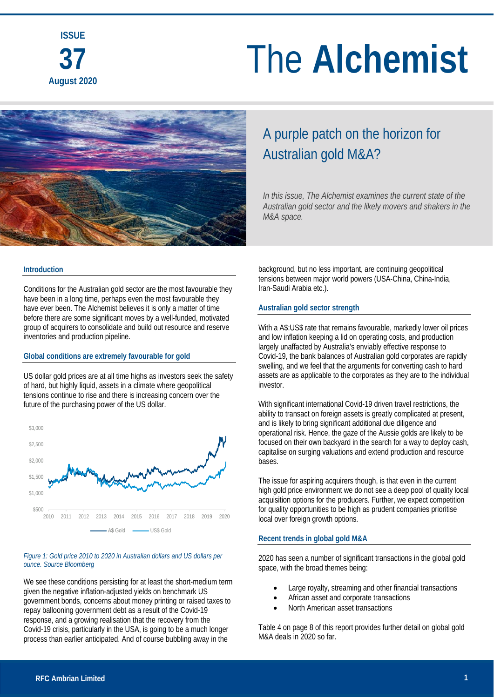

### A purple patch on the horizon for Australian gold M&A?

*In this issue, The Alchemist examines the current state of the Australian gold sector and the likely movers and shakers in the M&A space.*

#### **Introduction**

Conditions for the Australian gold sector are the most favourable they have been in a long time, perhaps even the most favourable they have ever been. The Alchemist believes it is only a matter of time before there are some significant moves by a well-funded, motivated group of acquirers to consolidate and build out resource and reserve inventories and production pipeline.

#### **Global conditions are extremely favourable for gold**

US dollar gold prices are at all time highs as investors seek the safety of hard, but highly liquid, assets in a climate where geopolitical tensions continue to rise and there is increasing concern over the future of the purchasing power of the US dollar.



#### *Figure 1: Gold price 2010 to 2020 in Australian dollars and US dollars per ounce. Source Bloomberg*

We see these conditions persisting for at least the short-medium term given the negative inflation-adjusted yields on benchmark US government bonds, concerns about money printing or raised taxes to repay ballooning government debt as a result of the Covid-19 response, and a growing realisation that the recovery from the Covid-19 crisis, particularly in the USA, is going to be a much longer process than earlier anticipated. And of course bubbling away in the

background, but no less important, are continuing geopolitical tensions between major world powers (USA-China, China-India, Iran-Saudi Arabia etc.).

#### **Australian gold sector strength**

With a A\$:US\$ rate that remains favourable, markedly lower oil prices and low inflation keeping a lid on operating costs, and production largely unaffacted by Australia's enviably effective response to Covid-19, the bank balances of Australian gold corporates are rapidly swelling, and we feel that the arguments for converting cash to hard assets are as applicable to the corporates as they are to the individual investor.

With significant international Covid-19 driven travel restrictions, the ability to transact on foreign assets is greatly complicated at present. and is likely to bring significant additional due diligence and operational risk. Hence, the gaze of the Aussie golds are likely to be focused on their own backyard in the search for a way to deploy cash, capitalise on surging valuations and extend production and resource bases.

The issue for aspiring acquirers though, is that even in the current high gold price environment we do not see a deep pool of quality local acquisition options for the producers. Further, we expect competition for quality opportunities to be high as prudent companies prioritise local over foreign growth options.

#### **Recent trends in global gold M&A**

2020 has seen a number of significant transactions in the global gold space, with the broad themes being:

- Large royalty, streaming and other financial transactions
- African asset and corporate transactions
- North American asset transactions

Table 4 on page 8 of this report provides further detail on global gold M&A deals in 2020 so far.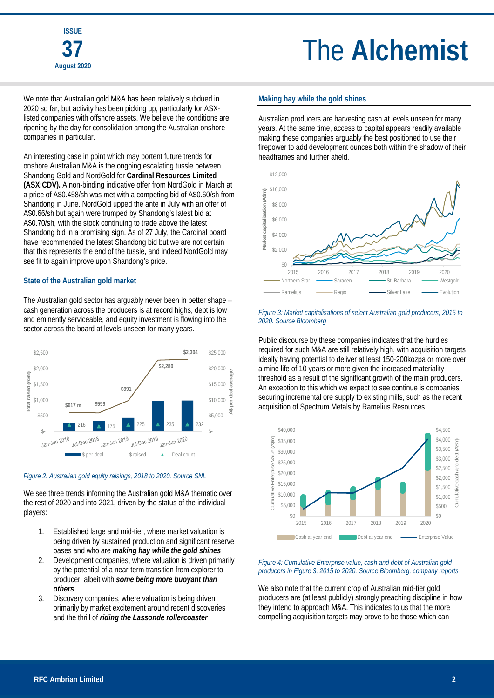We note that Australian gold M&A has been relatively subdued in 2020 so far, but activity has been picking up, particularly for ASXlisted companies with offshore assets. We believe the conditions are ripening by the day for consolidation among the Australian onshore companies in particular.

An interesting case in point which may portent future trends for onshore Australian M&A is the ongoing escalating tussle between Shandong Gold and NordGold for **Cardinal Resources Limited (ASX:CDV).** A non-binding indicative offer from NordGold in March at a price of A\$0.458/sh was met with a competing bid of A\$0.60/sh from Shandong in June. NordGold upped the ante in July with an offer of A\$0.66/sh but again were trumped by Shandong's latest bid at A\$0.70/sh, with the stock continuing to trade above the latest Shandong bid in a promising sign. As of 27 July, the Cardinal board have recommended the latest Shandong bid but we are not certain that this represents the end of the tussle, and indeed NordGold may see fit to again improve upon Shandong's price.

#### **State of the Australian gold market**

The Australian gold sector has arguably never been in better shape – cash generation across the producers is at record highs, debt is low and eminently serviceable, and equity investment is flowing into the sector across the board at levels unseen for many years.



#### *Figure 2: Australian gold equity raisings, 2018 to 2020. Source SNL*

We see three trends informing the Australian gold M&A thematic over the rest of 2020 and into 2021, driven by the status of the individual players:

- 1. Established large and mid-tier, where market valuation is being driven by sustained production and significant reserve bases and who are *making hay while the gold shines*
- 2. Development companies, where valuation is driven primarily by the potential of a near-term transition from explorer to producer, albeit with *some being more buoyant than others*
- 3. Discovery companies, where valuation is being driven primarily by market excitement around recent discoveries and the thrill of *riding the Lassonde rollercoaster*

#### **Making hay while the gold shines**

Australian producers are harvesting cash at levels unseen for many years. At the same time, access to capital appears readily available making these companies arguably the best positioned to use their firepower to add development ounces both within the shadow of their headframes and further afield.



#### *Figure 3: Market capitalisations of select Australian gold producers, 2015 to 2020. Source Bloomberg*

Public discourse by these companies indicates that the hurdles required for such M&A are still relatively high, with acquisition targets ideally having potential to deliver at least 150-200kozpa or more over a mine life of 10 years or more given the increased materiality threshold as a result of the significant growth of the main producers. An exception to this which we expect to see continue is companies securing incremental ore supply to existing mills, such as the recent acquisition of Spectrum Metals by Ramelius Resources.



#### *Figure 4: Cumulative Enterprise value, cash and debt of Australian gold producers in Figure 3, 2015 to 2020. Source Bloomberg, company reports*

We also note that the current crop of Australian mid-tier gold producers are (at least publicly) strongly preaching discipline in how they intend to approach M&A. This indicates to us that the more compelling acquisition targets may prove to be those which can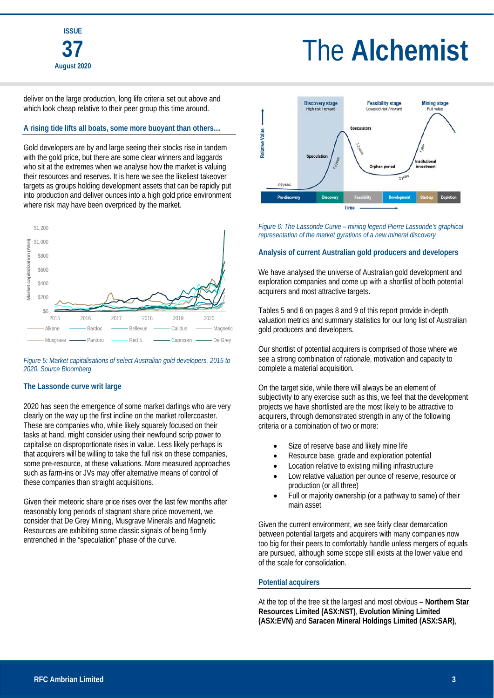deliver on the large production, long life criteria set out above and which look cheap relative to their peer group this time around.

#### **A rising tide lifts all boats, some more buoyant than others…**

Gold developers are by and large seeing their stocks rise in tandem with the gold price, but there are some clear winners and laggards who sit at the extremes when we analyse how the market is valuing their resources and reserves. It is here we see the likeliest takeover targets as groups holding development assets that can be rapidly put into production and deliver ounces into a high gold price environment where risk may have been overpriced by the market.



#### *Figure 5: Market capitalisations of select Australian gold developers, 2015 to 2020. Source Bloomberg*

#### **The Lassonde curve writ large**

2020 has seen the emergence of some market darlings who are very clearly on the way up the first incline on the market rollercoaster. These are companies who, while likely squarely focused on their tasks at hand, might consider using their newfound scrip power to capitalise on disproportionate rises in value. Less likely perhaps is that acquirers will be willing to take the full risk on these companies, some pre-resource, at these valuations. More measured approaches such as farm-ins or JVs may offer alternative means of control of these companies than straight acquisitions.

Given their meteoric share price rises over the last few months after reasonably long periods of stagnant share price movement, we consider that De Grey Mining, Musgrave Minerals and Magnetic Resources are exhibiting some classic signals of being firmly entrenched in the "speculation" phase of the curve.



*Figure 6: The Lassonde Curve – mining legend Pierre Lassonde's graphical representation of the market gyrations of a new mineral discovery* 

#### **Analysis of current Australian gold producers and developers**

We have analysed the universe of Australian gold development and exploration companies and come up with a shortlist of both potential acquirers and most attractive targets.

Tables 5 and 6 on pages 8 and 9 of this report provide in-depth valuation metrics and summary statistics for our long list of Australian gold producers and developers.

Our shortlist of potential acquirers is comprised of those where we see a strong combination of rationale, motivation and capacity to complete a material acquisition.

On the target side, while there will always be an element of subjectivity to any exercise such as this, we feel that the development projects we have shortlisted are the most likely to be attractive to acquirers, through demonstrated strength in any of the following criteria or a combination of two or more:

- Size of reserve base and likely mine life
- Resource base, grade and exploration potential
- Location relative to existing milling infrastructure
- Low relative valuation per ounce of reserve, resource or production (or all three)
- Full or majority ownership (or a pathway to same) of their main asset

Given the current environment, we see fairly clear demarcation between potential targets and acquirers with many companies now too big for their peers to comfortably handle unless mergers of equals are pursued, although some scope still exists at the lower value end of the scale for consolidation.

#### **Potential acquirers**

At the top of the tree sit the largest and most obvious – **Northern Star Resources Limited (ASX:NST)**, **Evolution Mining Limited (ASX:EVN)** and **Saracen Mineral Holdings Limited (ASX:SAR)**,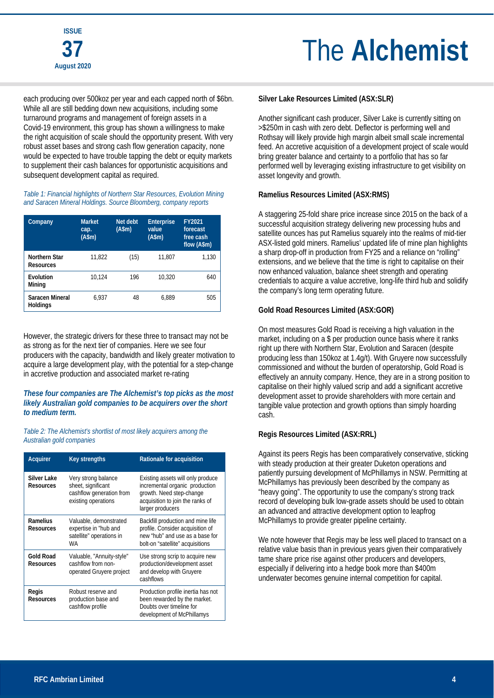each producing over 500koz per year and each capped north of \$6bn. While all are still bedding down new acquisitions, including some turnaround programs and management of foreign assets in a Covid-19 environment, this group has shown a willingness to make the right acquisition of scale should the opportunity present. With very robust asset bases and strong cash flow generation capacity, none would be expected to have trouble tapping the debt or equity markets to supplement their cash balances for opportunistic acquisitions and subsequent development capital as required.

*Table 1: Financial highlights of Northern Star Resources, Evolution Mining and Saracen Mineral Holdings. Source Bloomberg, company reports* 

| Company                            | <b>Market</b><br>cap.<br>(A\$m) | Net debt<br>(A\$m) | <b>Enterprise</b><br>value<br>(Asm) | FY2021<br>forecast<br>free cash<br>flow (A\$m) |
|------------------------------------|---------------------------------|--------------------|-------------------------------------|------------------------------------------------|
| Northern Star<br><b>Resources</b>  | 11,822                          | (15)               | 11,807                              | 1.130                                          |
| Evolution<br>Mining                | 10,124                          | 196                | 10.320                              | 640                                            |
| Saracen Mineral<br><b>Holdings</b> | 6.937                           | 48                 | 6.889                               | 505                                            |

However, the strategic drivers for these three to transact may not be as strong as for the next tier of companies. Here we see four producers with the capacity, bandwidth and likely greater motivation to acquire a large development play, with the potential for a step-change in accretive production and associated market re-rating

#### *These four companies are The Alchemist's top picks as the most likely Australian gold companies to be acquirers over the short to medium term.*

*Table 2: The Alchemist's shortlist of most likely acquirers among the Australian gold companies* 

| Acquirer                      | <b>Key strengths</b>                                                                         | Rationale for acquisition                                                                                                                               |
|-------------------------------|----------------------------------------------------------------------------------------------|---------------------------------------------------------------------------------------------------------------------------------------------------------|
| Silver Lake<br>Resources      | Very strong balance<br>sheet, significant<br>cashflow generation from<br>existing operations | Existing assets will only produce<br>incremental organic production<br>growth. Need step-change<br>acquisition to join the ranks of<br>larger producers |
| Ramelius<br><b>Resources</b>  | Valuable, demonstrated<br>expertise in "hub and<br>satellite" operations in<br>WA            | Backfill production and mine life<br>profile. Consider acquisition of<br>new "hub" and use as a base for<br>bolt-on "satellite" acquisitions            |
| <b>Gold Road</b><br>Resources | Valuable, "Annuity-style"<br>cashflow from non-<br>operated Gruyere project                  | Use strong scrip to acquire new<br>production/development asset<br>and develop with Gruyere<br>cashflows                                                |
| Regis<br><b>Resources</b>     | Robust reserve and<br>production base and<br>cashflow profile                                | Production profile inertia has not<br>been rewarded by the market.<br>Doubts over timeline for<br>development of McPhillamys                            |

#### **Silver Lake Resources Limited (ASX:SLR)**

Another significant cash producer, Silver Lake is currently sitting on >\$250m in cash with zero debt. Deflector is performing well and Rothsay will likely provide high margin albeit small scale incremental feed. An accretive acquisition of a development project of scale would bring greater balance and certainty to a portfolio that has so far performed well by leveraging existing infrastructure to get visibility on asset longevity and growth.

#### **Ramelius Resources Limited (ASX:RMS)**

A staggering 25-fold share price increase since 2015 on the back of a successful acquisition strategy delivering new processing hubs and satellite ounces has put Ramelius squarely into the realms of mid-tier ASX-listed gold miners. Ramelius' updated life of mine plan highlights a sharp drop-off in production from FY25 and a reliance on "rolling" extensions, and we believe that the time is right to capitalise on their now enhanced valuation, balance sheet strength and operating credentials to acquire a value accretive, long-life third hub and solidify the company's long term operating future.

#### **Gold Road Resources Limited (ASX:GOR)**

On most measures Gold Road is receiving a high valuation in the market, including on a \$ per production ounce basis where it ranks right up there with Northern Star, Evolution and Saracen (despite producing less than 150koz at 1.4g/t). With Gruyere now successfully commissioned and without the burden of operatorship, Gold Road is effectively an annuity company. Hence, they are in a strong position to capitalise on their highly valued scrip and add a significant accretive development asset to provide shareholders with more certain and tangible value protection and growth options than simply hoarding cash.

#### **Regis Resources Limited (ASX:RRL)**

Against its peers Regis has been comparatively conservative, sticking with steady production at their greater Duketon operations and patiently pursuing development of McPhillamys in NSW. Permitting at McPhillamys has previously been described by the company as "heavy going". The opportunity to use the company's strong track record of developing bulk low-grade assets should be used to obtain an advanced and attractive development option to leapfrog McPhillamys to provide greater pipeline certainty.

We note however that Regis may be less well placed to transact on a relative value basis than in previous years given their comparatively tame share price rise against other producers and developers, especially if delivering into a hedge book more than \$400m underwater becomes genuine internal competition for capital.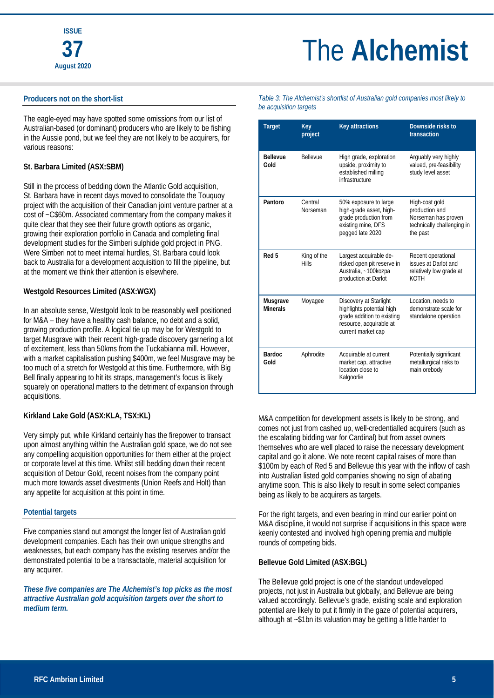#### **Producers not on the short-list**

The eagle-eyed may have spotted some omissions from our list of Australian-based (or dominant) producers who are likely to be fishing in the Aussie pond, but we feel they are not likely to be acquirers, for various reasons:

#### **St. Barbara Limited (ASX:SBM)**

Still in the process of bedding down the Atlantic Gold acquisition, St. Barbara have in recent days moved to consolidate the Touquoy project with the acquisition of their Canadian joint venture partner at a cost of ~C\$60m. Associated commentary from the company makes it quite clear that they see their future growth options as organic, growing their exploration portfolio in Canada and completing final development studies for the Simberi sulphide gold project in PNG. Were Simberi not to meet internal hurdles, St. Barbara could look back to Australia for a development acquisition to fill the pipeline, but at the moment we think their attention is elsewhere.

#### **Westgold Resources Limited (ASX:WGX)**

In an absolute sense, Westgold look to be reasonably well positioned for M&A – they have a healthy cash balance, no debt and a solid, growing production profile. A logical tie up may be for Westgold to target Musgrave with their recent high-grade discovery garnering a lot of excitement, less than 50kms from the Tuckabianna mill. However, with a market capitalisation pushing \$400m, we feel Musgrave may be too much of a stretch for Westgold at this time. Furthermore, with Big Bell finally appearing to hit its straps, management's focus is likely squarely on operational matters to the detriment of expansion through acquisitions.

#### **Kirkland Lake Gold (ASX:KLA, TSX:KL)**

Very simply put, while Kirkland certainly has the firepower to transact upon almost anything within the Australian gold space, we do not see any compelling acquisition opportunities for them either at the project or corporate level at this time. Whilst still bedding down their recent acquisition of Detour Gold, recent noises from the company point much more towards asset divestments (Union Reefs and Holt) than any appetite for acquisition at this point in time.

#### **Potential targets**

Five companies stand out amongst the longer list of Australian gold development companies. Each has their own unique strengths and weaknesses, but each company has the existing reserves and/or the demonstrated potential to be a transactable, material acquisition for any acquirer.

*These five companies are The Alchemist's top picks as the most attractive Australian gold acquisition targets over the short to medium term.*

*Table 3: The Alchemist's shortlist of Australian gold companies most likely to be acquisition targets* 

| <b>Target</b>               | Key<br>project              | <b>Key attractions</b>                                                                                                             | Downside risks to<br>transaction                                                                  |
|-----------------------------|-----------------------------|------------------------------------------------------------------------------------------------------------------------------------|---------------------------------------------------------------------------------------------------|
| <b>Bellevue</b><br>Gold     | <b>Bellevue</b>             | High grade, exploration<br>upside, proximity to<br>established milling<br>infrastructure                                           | Arguably very highly<br>valued, pre-feasibility<br>study level asset                              |
| Pantoro                     | Central<br>Norseman         | 50% exposure to large<br>high-grade asset, high-<br>grade production from<br>existing mine, DFS<br>pegged late 2020                | High-cost gold<br>production and<br>Norseman has proven<br>technically challenging in<br>the past |
| Red 5                       | King of the<br><b>Hills</b> | Largest acquirable de-<br>risked open pit reserve in<br>Australia, ~100kozpa<br>production at Darlot                               | Recent operational<br>issues at Darlot and<br>relatively low grade at<br>KOTH                     |
| Musgrave<br><b>Minerals</b> | Moyagee                     | Discovery at Starlight<br>highlights potential high<br>grade addition to existing<br>resource, acquirable at<br>current market cap | Location, needs to<br>demonstrate scale for<br>standalone operation                               |
| <b>Bardoc</b><br>Gold       | Aphrodite                   | Acquirable at current<br>market cap, attractive<br>location close to<br>Kalgoorlie                                                 | Potentially significant<br>metallurgical risks to<br>main orebody                                 |

M&A competition for development assets is likely to be strong, and comes not just from cashed up, well-credentialled acquirers (such as the escalating bidding war for Cardinal) but from asset owners themselves who are well placed to raise the necessary development capital and go it alone. We note recent capital raises of more than \$100m by each of Red 5 and Bellevue this year with the inflow of cash into Australian listed gold companies showing no sign of abating anytime soon. This is also likely to result in some select companies being as likely to be acquirers as targets.

For the right targets, and even bearing in mind our earlier point on M&A discipline, it would not surprise if acquisitions in this space were keenly contested and involved high opening premia and multiple rounds of competing bids.

#### **Bellevue Gold Limited (ASX:BGL)**

The Bellevue gold project is one of the standout undeveloped projects, not just in Australia but globally, and Bellevue are being valued accordingly. Bellevue's grade, existing scale and exploration potential are likely to put it firmly in the gaze of potential acquirers, although at ~\$1bn its valuation may be getting a little harder to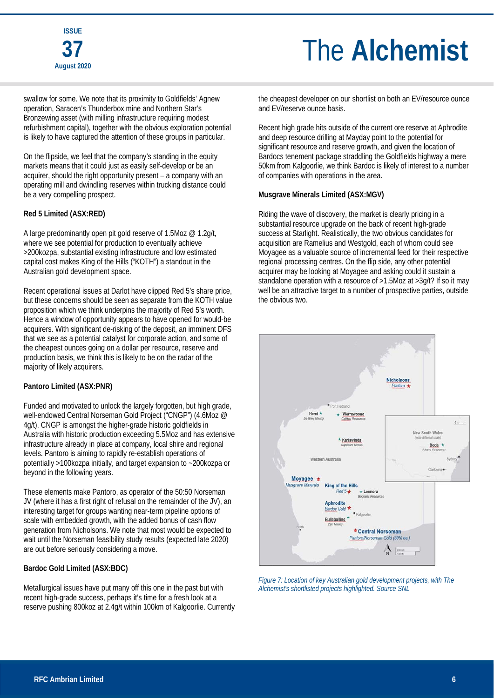swallow for some. We note that its proximity to Goldfields' Agnew operation, Saracen's Thunderbox mine and Northern Star's Bronzewing asset (with milling infrastructure requiring modest refurbishment capital), together with the obvious exploration potential is likely to have captured the attention of these groups in particular.

On the flipside, we feel that the company's standing in the equity markets means that it could just as easily self-develop or be an acquirer, should the right opportunity present – a company with an operating mill and dwindling reserves within trucking distance could be a very compelling prospect.

#### **Red 5 Limited (ASX:RED)**

A large predominantly open pit gold reserve of 1.5Moz @ 1.2g/t, where we see potential for production to eventually achieve >200kozpa, substantial existing infrastructure and low estimated capital cost makes King of the Hills ("KOTH") a standout in the Australian gold development space.

Recent operational issues at Darlot have clipped Red 5's share price, but these concerns should be seen as separate from the KOTH value proposition which we think underpins the majority of Red 5's worth. Hence a window of opportunity appears to have opened for would-be acquirers. With significant de-risking of the deposit, an imminent DFS that we see as a potential catalyst for corporate action, and some of the cheapest ounces going on a dollar per resource, reserve and production basis, we think this is likely to be on the radar of the majority of likely acquirers.

#### **Pantoro Limited (ASX:PNR)**

Funded and motivated to unlock the largely forgotten, but high grade, well-endowed Central Norseman Gold Project ("CNGP") (4.6Moz @ 4g/t). CNGP is amongst the higher-grade historic goldfields in Australia with historic production exceeding 5.5Moz and has extensive infrastructure already in place at company, local shire and regional levels. Pantoro is aiming to rapidly re-establish operations of potentially >100kozpa initially, and target expansion to ~200kozpa or beyond in the following years.

These elements make Pantoro, as operator of the 50:50 Norseman JV (where it has a first right of refusal on the remainder of the JV), an interesting target for groups wanting near-term pipeline options of scale with embedded growth, with the added bonus of cash flow generation from Nicholsons. We note that most would be expected to wait until the Norseman feasibility study results (expected late 2020) are out before seriously considering a move.

#### **Bardoc Gold Limited (ASX:BDC)**

Metallurgical issues have put many off this one in the past but with recent high-grade success, perhaps it's time for a fresh look at a reserve pushing 800koz at 2.4g/t within 100km of Kalgoorlie. Currently the cheapest developer on our shortlist on both an EV/resource ounce and EV/reserve ounce basis.

Recent high grade hits outside of the current ore reserve at Aphrodite and deep resource drilling at Mayday point to the potential for significant resource and reserve growth, and given the location of Bardocs tenement package straddling the Goldfields highway a mere 50km from Kalgoorlie, we think Bardoc is likely of interest to a number of companies with operations in the area.

#### **Musgrave Minerals Limited (ASX:MGV)**

Riding the wave of discovery, the market is clearly pricing in a substantial resource upgrade on the back of recent high-grade success at Starlight. Realistically, the two obvious candidates for acquisition are Ramelius and Westgold, each of whom could see Moyagee as a valuable source of incremental feed for their respective regional processing centres. On the flip side, any other potential acquirer may be looking at Moyagee and asking could it sustain a standalone operation with a resource of >1.5Moz at >3g/t? If so it may well be an attractive target to a number of prospective parties, outside the obvious two.



*Figure 7: Location of key Australian gold development projects, with The Alchemist's shortlisted projects highlighted. Source SNL*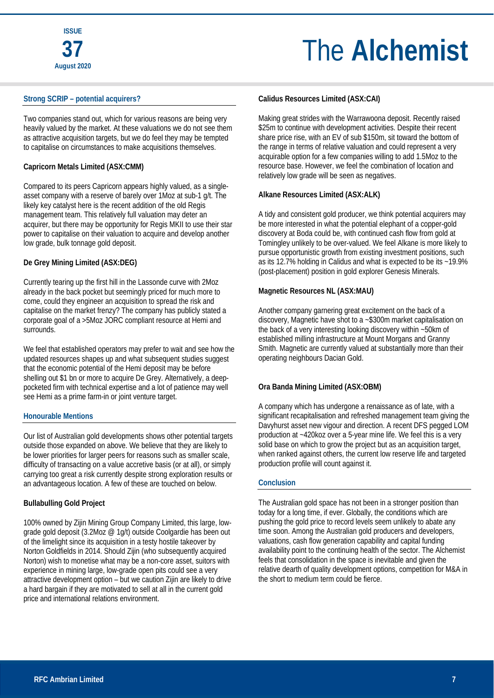#### **Strong SCRIP – potential acquirers?**

Two companies stand out, which for various reasons are being very heavily valued by the market. At these valuations we do not see them as attractive acquisition targets, but we do feel they may be tempted to capitalise on circumstances to make acquisitions themselves.

#### **Capricorn Metals Limited (ASX:CMM)**

Compared to its peers Capricorn appears highly valued, as a singleasset company with a reserve of barely over 1Moz at sub-1 g/t. The likely key catalyst here is the recent addition of the old Regis management team. This relatively full valuation may deter an acquirer, but there may be opportunity for Regis MKII to use their star power to capitalise on their valuation to acquire and develop another low grade, bulk tonnage gold deposit.

#### **De Grey Mining Limited (ASX:DEG)**

Currently tearing up the first hill in the Lassonde curve with 2Moz already in the back pocket but seemingly priced for much more to come, could they engineer an acquisition to spread the risk and capitalise on the market frenzy? The company has publicly stated a corporate goal of a >5Moz JORC compliant resource at Hemi and surrounds.

We feel that established operators may prefer to wait and see how the updated resources shapes up and what subsequent studies suggest that the economic potential of the Hemi deposit may be before shelling out \$1 bn or more to acquire De Grey. Alternatively, a deeppocketed firm with technical expertise and a lot of patience may well see Hemi as a prime farm-in or joint venture target.

#### **Honourable Mentions**

Our list of Australian gold developments shows other potential targets outside those expanded on above. We believe that they are likely to be lower priorities for larger peers for reasons such as smaller scale, difficulty of transacting on a value accretive basis (or at all), or simply carrying too great a risk currently despite strong exploration results or an advantageous location. A few of these are touched on below.

#### **Bullabulling Gold Project**

100% owned by Zijin Mining Group Company Limited, this large, lowgrade gold deposit (3.2Moz @ 1g/t) outside Coolgardie has been out of the limelight since its acquisition in a testy hostile takeover by Norton Goldfields in 2014. Should Zijin (who subsequently acquired Norton) wish to monetise what may be a non-core asset, suitors with experience in mining large, low-grade open pits could see a very attractive development option – but we caution Zijin are likely to drive a hard bargain if they are motivated to sell at all in the current gold price and international relations environment.

#### **Calidus Resources Limited (ASX:CAI)**

Making great strides with the Warrawoona deposit. Recently raised \$25m to continue with development activities. Despite their recent share price rise, with an EV of sub \$150m, sit toward the bottom of the range in terms of relative valuation and could represent a very acquirable option for a few companies willing to add 1.5Moz to the resource base. However, we feel the combination of location and relatively low grade will be seen as negatives.

#### **Alkane Resources Limited (ASX:ALK)**

A tidy and consistent gold producer, we think potential acquirers may be more interested in what the potential elephant of a copper-gold discovery at Boda could be, with continued cash flow from gold at Tomingley unlikely to be over-valued. We feel Alkane is more likely to pursue opportunistic growth from existing investment positions, such as its 12.7% holding in Calidus and what is expected to be its ~19.9% (post-placement) position in gold explorer Genesis Minerals.

#### **Magnetic Resources NL (ASX:MAU)**

Another company garnering great excitement on the back of a discovery, Magnetic have shot to a ~\$300m market capitalisation on the back of a very interesting looking discovery within ~50km of established milling infrastructure at Mount Morgans and Granny Smith. Magnetic are currently valued at substantially more than their operating neighbours Dacian Gold.

#### **Ora Banda Mining Limited (ASX:OBM)**

A company which has undergone a renaissance as of late, with a significant recapitalisation and refreshed management team giving the Davyhurst asset new vigour and direction. A recent DFS pegged LOM production at ~420koz over a 5-year mine life. We feel this is a very solid base on which to grow the project but as an acquisition target, when ranked against others, the current low reserve life and targeted production profile will count against it.

#### **Conclusion**

The Australian gold space has not been in a stronger position than today for a long time, if ever. Globally, the conditions which are pushing the gold price to record levels seem unlikely to abate any time soon. Among the Australian gold producers and developers, valuations, cash flow generation capability and capital funding availability point to the continuing health of the sector. The Alchemist feels that consolidation in the space is inevitable and given the relative dearth of quality development options, competition for M&A in the short to medium term could be fierce.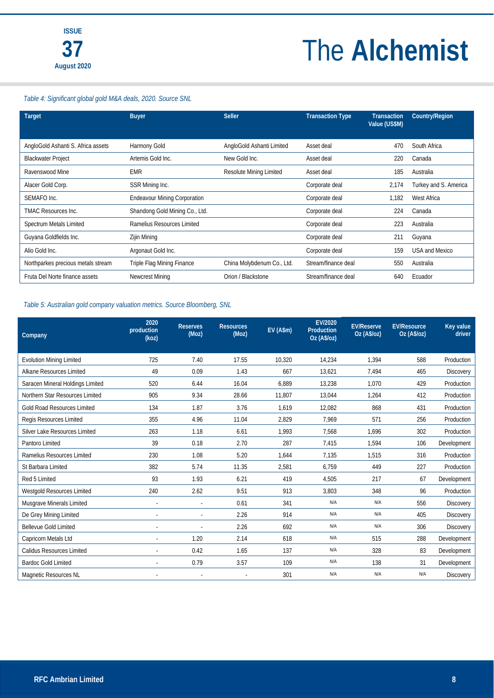#### *Table 4: Significant global gold M&A deals, 2020. Source SNL*

| <b>Target</b>                      | <b>Buyer</b>                        | <b>Seller</b>                  | <b>Transaction Type</b> | <b>Transaction</b><br>Value (US\$M) | Country/Region        |
|------------------------------------|-------------------------------------|--------------------------------|-------------------------|-------------------------------------|-----------------------|
| AngloGold Ashanti S. Africa assets | Harmony Gold                        | AngloGold Ashanti Limited      | Asset deal              | 470                                 | South Africa          |
| <b>Blackwater Project</b>          | Artemis Gold Inc.                   | New Gold Inc.                  | Asset deal              | 220                                 | Canada                |
| Ravenswood Mine                    | <b>EMR</b>                          | <b>Resolute Mining Limited</b> | Asset deal              | 185                                 | Australia             |
| Alacer Gold Corp.                  | SSR Mining Inc.                     |                                | Corporate deal          | 2,174                               | Turkey and S. America |
| SEMAFO Inc.                        | <b>Endeavour Mining Corporation</b> |                                | Corporate deal          | 1.182                               | West Africa           |
| <b>TMAC Resources Inc.</b>         | Shandong Gold Mining Co., Ltd.      |                                | Corporate deal          | 224                                 | Canada                |
| Spectrum Metals Limited            | Ramelius Resources Limited          |                                | Corporate deal          | 223                                 | Australia             |
| Guyana Goldfields Inc.             | Zijin Mining                        |                                | Corporate deal          | 211                                 | Guyana                |
| Alio Gold Inc.                     | Argonaut Gold Inc.                  |                                | Corporate deal          | 159                                 | <b>USA and Mexico</b> |
| Northparkes precious metals stream | Triple Flag Mining Finance          | China Molybdenum Co., Ltd.     | Stream/finance deal     | 550                                 | Australia             |
| Fruta Del Norte finance assets     | Newcrest Mining                     | Orion / Blackstone             | Stream/finance deal     | 640                                 | Ecuador               |

#### *Table 5: Australian gold company valuation metrics. Source Bloomberg, SNL*

| Company                          | 2020<br>production<br>(koz) | <b>Reserves</b><br>(Moz) | <b>Resources</b><br>(Moz) | EV (A\$m) | EV/2020<br>Production<br>Oz (A\$/oz) | <b>EV/Reserve</b><br>Oz (A\$/oz) | <b>EV/Resource</b><br>Oz(As/oz) | <b>Key value</b><br>driver |
|----------------------------------|-----------------------------|--------------------------|---------------------------|-----------|--------------------------------------|----------------------------------|---------------------------------|----------------------------|
| <b>Evolution Mining Limited</b>  | 725                         | 7.40                     | 17.55                     | 10,320    | 14,234                               | 1.394                            | 588                             | Production                 |
| Alkane Resources Limited         | 49                          | 0.09                     | 1.43                      | 667       | 13,621                               | 7,494                            | 465                             | <b>Discovery</b>           |
| Saracen Mineral Holdings Limited | 520                         | 6.44                     | 16.04                     | 6,889     | 13,238                               | 1.070                            | 429                             | Production                 |
| Northern Star Resources Limited  | 905                         | 9.34                     | 28.66                     | 11.807    | 13,044                               | 1.264                            | 412                             | Production                 |
| Gold Road Resources Limited      | 134                         | 1.87                     | 3.76                      | 1.619     | 12,082                               | 868                              | 431                             | Production                 |
| Regis Resources Limited          | 355                         | 4.96                     | 11.04                     | 2,829     | 7.969                                | 571                              | 256                             | Production                 |
| Silver Lake Resources Limited    | 263                         | 1.18                     | 6.61                      | 1.993     | 7.568                                | 1.696                            | 302                             | Production                 |
| Pantoro Limited                  | 39                          | 0.18                     | 2.70                      | 287       | 7,415                                | 1,594                            | 106                             | Development                |
| Ramelius Resources Limited       | 230                         | 1.08                     | 5.20                      | 1.644     | 7.135                                | 1,515                            | 316                             | Production                 |
| St Barbara Limited               | 382                         | 5.74                     | 11.35                     | 2,581     | 6.759                                | 449                              | 227                             | Production                 |
| Red 5 Limited                    | 93                          | 1.93                     | 6.21                      | 419       | 4,505                                | 217                              | 67                              | Development                |
| Westgold Resources Limited       | 240                         | 2.62                     | 9.51                      | 913       | 3,803                                | 348                              | 96                              | Production                 |
| Musgrave Minerals Limited        |                             |                          | 0.61                      | 341       | N/A                                  | N/A                              | 556                             | <b>Discovery</b>           |
| De Grey Mining Limited           | ÷,                          | $\bar{a}$                | 2.26                      | 914       | N/A                                  | N/A                              | 405                             | Discovery                  |
| <b>Bellevue Gold Limited</b>     |                             |                          | 2.26                      | 692       | N/A                                  | N/A                              | 306                             | <b>Discovery</b>           |
| Capricorn Metals Ltd             |                             | 1.20                     | 2.14                      | 618       | N/A                                  | 515                              | 288                             | Development                |
| Calidus Resources Limited        |                             | 0.42                     | 1.65                      | 137       | N/A                                  | 328                              | 83                              | Development                |
| <b>Bardoc Gold Limited</b>       |                             | 0.79                     | 3.57                      | 109       | N/A                                  | 138                              | 31                              | Development                |
| Magnetic Resources NL            |                             |                          |                           | 301       | N/A                                  | N/A                              | N/A                             | <b>Discovery</b>           |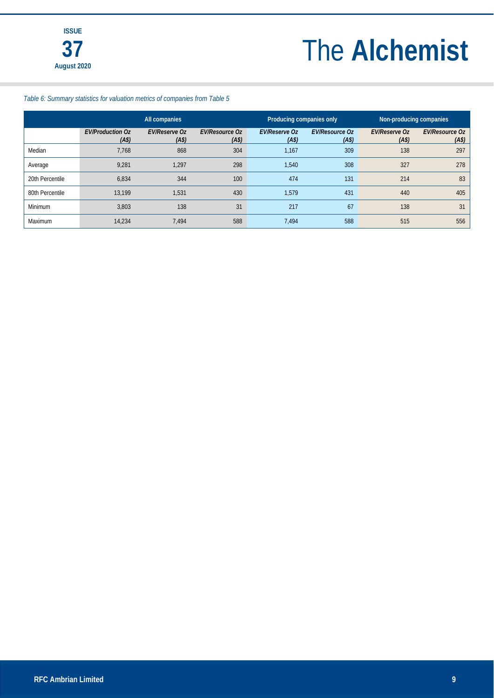#### *Table 6: Summary statistics for valuation metrics of companies from Table 5*

|                 | All companies                                |                                           |                                            | Producing companies only                  |                                            | Non-producing companies                   |                                            |
|-----------------|----------------------------------------------|-------------------------------------------|--------------------------------------------|-------------------------------------------|--------------------------------------------|-------------------------------------------|--------------------------------------------|
|                 | <b>EV/Production Oz</b><br>(A <sup>s</sup> ) | <b>EV/Reserve Oz</b><br>(A <sup>s</sup> ) | <b>EV/Resource Oz</b><br>(A <sup>s</sup> ) | <b>EV/Reserve Oz</b><br>(A <sup>s</sup> ) | <b>EV/Resource Oz</b><br>(A <sup>s</sup> ) | <b>EV/Reserve Oz</b><br>(A <sup>s</sup> ) | <b>EV/Resource Oz</b><br>(A <sup>s</sup> ) |
| Median          | 7.768                                        | 868                                       | 304                                        | 1,167                                     | 309                                        | 138                                       | 297                                        |
| Average         | 9,281                                        | 1.297                                     | 298                                        | 1,540                                     | 308                                        | 327                                       | 278                                        |
| 20th Percentile | 6,834                                        | 344                                       | 100                                        | 474                                       | 131                                        | 214                                       | 83                                         |
| 80th Percentile | 13.199                                       | 1,531                                     | 430                                        | 1,579                                     | 431                                        | 440                                       | 405                                        |
| Minimum         | 3,803                                        | 138                                       | 31                                         | 217                                       | 67                                         | 138                                       | 31                                         |
| Maximum         | 14.234                                       | 7.494                                     | 588                                        | 7.494                                     | 588                                        | 515                                       | 556                                        |